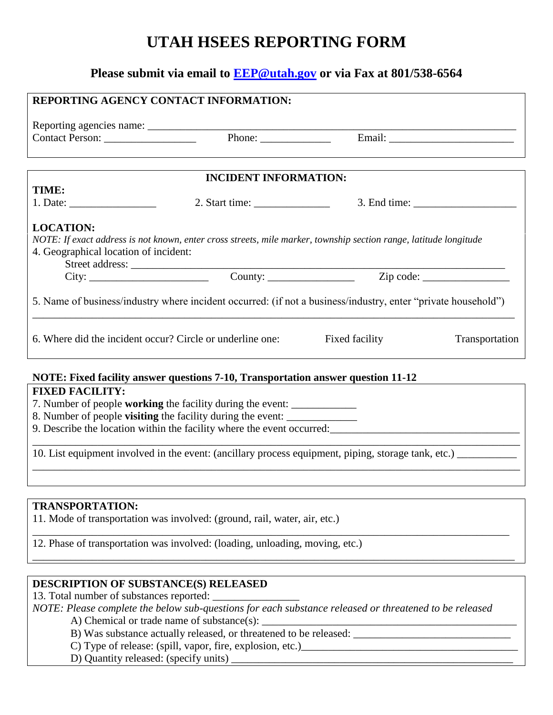## **UTAH HSEES REPORTING FORM**

## **Please submit via email to [EEP@utah.gov](mailto:EEP@utah.gov) or via Fax at 801/538-6564**

| <b>REPORTING AGENCY CONTACT INFORMATION:</b>                                                                                                                                                                           |                                                                                                                                                                                                                                                                                                                                                                                                                   |                |                                |  |  |  |
|------------------------------------------------------------------------------------------------------------------------------------------------------------------------------------------------------------------------|-------------------------------------------------------------------------------------------------------------------------------------------------------------------------------------------------------------------------------------------------------------------------------------------------------------------------------------------------------------------------------------------------------------------|----------------|--------------------------------|--|--|--|
|                                                                                                                                                                                                                        |                                                                                                                                                                                                                                                                                                                                                                                                                   |                |                                |  |  |  |
|                                                                                                                                                                                                                        |                                                                                                                                                                                                                                                                                                                                                                                                                   |                |                                |  |  |  |
|                                                                                                                                                                                                                        |                                                                                                                                                                                                                                                                                                                                                                                                                   |                |                                |  |  |  |
|                                                                                                                                                                                                                        |                                                                                                                                                                                                                                                                                                                                                                                                                   |                |                                |  |  |  |
|                                                                                                                                                                                                                        | <b>INCIDENT INFORMATION:</b>                                                                                                                                                                                                                                                                                                                                                                                      |                |                                |  |  |  |
| TIME:                                                                                                                                                                                                                  |                                                                                                                                                                                                                                                                                                                                                                                                                   |                |                                |  |  |  |
| 1. Date: $\frac{1}{\sqrt{1-\frac{1}{2}} \cdot \frac{1}{2}}$                                                                                                                                                            | 2. Start time: $\frac{1}{\sqrt{1-\frac{1}{2}}}\frac{1}{\sqrt{1-\frac{1}{2}}}\frac{1}{\sqrt{1-\frac{1}{2}}}\frac{1}{\sqrt{1-\frac{1}{2}}}\frac{1}{\sqrt{1-\frac{1}{2}}}\frac{1}{\sqrt{1-\frac{1}{2}}}\frac{1}{\sqrt{1-\frac{1}{2}}}\frac{1}{\sqrt{1-\frac{1}{2}}}\frac{1}{\sqrt{1-\frac{1}{2}}}\frac{1}{\sqrt{1-\frac{1}{2}}}\frac{1}{\sqrt{1-\frac{1}{2}}}\frac{1}{\sqrt{1-\frac{1}{2}}}\frac{1}{\sqrt{1-\frac{1$ |                | $3.$ End time: $\qquad \qquad$ |  |  |  |
| <b>LOCATION:</b>                                                                                                                                                                                                       |                                                                                                                                                                                                                                                                                                                                                                                                                   |                |                                |  |  |  |
|                                                                                                                                                                                                                        |                                                                                                                                                                                                                                                                                                                                                                                                                   |                |                                |  |  |  |
| NOTE: If exact address is not known, enter cross streets, mile marker, township section range, latitude longitude<br>4. Geographical location of incident:                                                             |                                                                                                                                                                                                                                                                                                                                                                                                                   |                |                                |  |  |  |
|                                                                                                                                                                                                                        |                                                                                                                                                                                                                                                                                                                                                                                                                   |                |                                |  |  |  |
|                                                                                                                                                                                                                        |                                                                                                                                                                                                                                                                                                                                                                                                                   |                |                                |  |  |  |
|                                                                                                                                                                                                                        |                                                                                                                                                                                                                                                                                                                                                                                                                   |                |                                |  |  |  |
| 5. Name of business/industry where incident occurred: (if not a business/industry, enter "private household")                                                                                                          |                                                                                                                                                                                                                                                                                                                                                                                                                   |                |                                |  |  |  |
|                                                                                                                                                                                                                        |                                                                                                                                                                                                                                                                                                                                                                                                                   |                |                                |  |  |  |
|                                                                                                                                                                                                                        |                                                                                                                                                                                                                                                                                                                                                                                                                   |                |                                |  |  |  |
|                                                                                                                                                                                                                        | 6. Where did the incident occur? Circle or underline one:                                                                                                                                                                                                                                                                                                                                                         | Fixed facility | Transportation                 |  |  |  |
|                                                                                                                                                                                                                        |                                                                                                                                                                                                                                                                                                                                                                                                                   |                |                                |  |  |  |
|                                                                                                                                                                                                                        |                                                                                                                                                                                                                                                                                                                                                                                                                   |                |                                |  |  |  |
| NOTE: Fixed facility answer questions 7-10, Transportation answer question 11-12                                                                                                                                       |                                                                                                                                                                                                                                                                                                                                                                                                                   |                |                                |  |  |  |
| <b>FIXED FACILITY:</b>                                                                                                                                                                                                 |                                                                                                                                                                                                                                                                                                                                                                                                                   |                |                                |  |  |  |
| 7. Number of people working the facility during the event:                                                                                                                                                             |                                                                                                                                                                                                                                                                                                                                                                                                                   |                |                                |  |  |  |
| 8. Number of people <b>visiting</b> the facility during the event:<br>9. Describe the location within the facility where the event occurred:<br>1. Describe the location within the facility where the event occurred: |                                                                                                                                                                                                                                                                                                                                                                                                                   |                |                                |  |  |  |
|                                                                                                                                                                                                                        |                                                                                                                                                                                                                                                                                                                                                                                                                   |                |                                |  |  |  |
| 10. List equipment involved in the event: (ancillary process equipment, piping, storage tank, etc.) __________                                                                                                         |                                                                                                                                                                                                                                                                                                                                                                                                                   |                |                                |  |  |  |
|                                                                                                                                                                                                                        |                                                                                                                                                                                                                                                                                                                                                                                                                   |                |                                |  |  |  |

## **TRANSPORTATION:**

11. Mode of transportation was involved: (ground, rail, water, air, etc.)

12. Phase of transportation was involved: (loading, unloading, moving, etc.)

## **DESCRIPTION OF SUBSTANCE(S) RELEASED**

13. Total number of substances reported: \_\_\_\_\_\_\_\_\_\_\_\_\_\_\_\_

|                                            | NOTE: Please complete the below sub-questions for each substance released or threatened to be released |
|--------------------------------------------|--------------------------------------------------------------------------------------------------------|
| A) Chemical or trade name of substance(s): |                                                                                                        |

\_\_\_\_\_\_\_\_\_\_\_\_\_\_\_\_\_\_\_\_\_\_\_\_\_\_\_\_\_\_\_\_\_\_\_\_\_\_\_\_\_\_\_\_\_\_\_\_\_\_\_\_\_\_\_\_\_\_\_\_\_\_\_\_\_\_\_\_\_\_\_\_\_\_\_\_\_\_\_\_\_\_\_\_\_\_\_\_

\_\_\_\_\_\_\_\_\_\_\_\_\_\_\_\_\_\_\_\_\_\_\_\_\_\_\_\_\_\_\_\_\_\_\_\_\_\_\_\_\_\_\_\_\_\_\_\_\_\_\_\_\_\_\_\_\_\_\_\_\_\_\_\_\_\_\_\_\_\_\_\_\_\_\_\_\_\_\_\_\_\_\_\_\_\_\_\_\_

- B) Was substance actually released, or threatened to be released: \_\_\_\_\_\_\_\_\_\_\_\_\_\_\_\_\_\_\_\_\_\_\_\_\_\_\_\_\_
	- C) Type of release: (spill, vapor, fire, explosion, etc.)\_\_\_\_\_\_\_\_\_\_\_\_\_\_\_\_\_\_\_\_\_\_\_\_\_\_\_\_\_\_\_\_\_\_\_\_\_\_\_\_
	- D) Quantity released: (specify units) \_\_\_\_\_\_\_\_\_\_\_\_\_\_\_\_\_\_\_\_\_\_\_\_\_\_\_\_\_\_\_\_\_\_\_\_\_\_\_\_\_\_\_\_\_\_\_\_\_\_\_\_